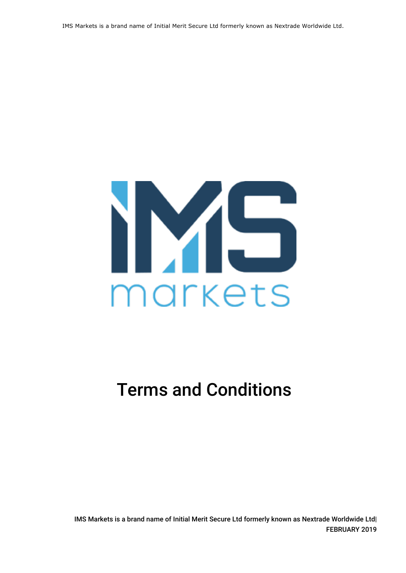IMS Markets is a brand name of Initial Merit Secure Ltd formerly known as Nextrade Worldwide Ltd.



# Terms and Conditions

IMS Markets is a brand name of Initial Merit Secure Ltd formerly known as Nextrade Worldwide Ltd| FEBRUARY 2019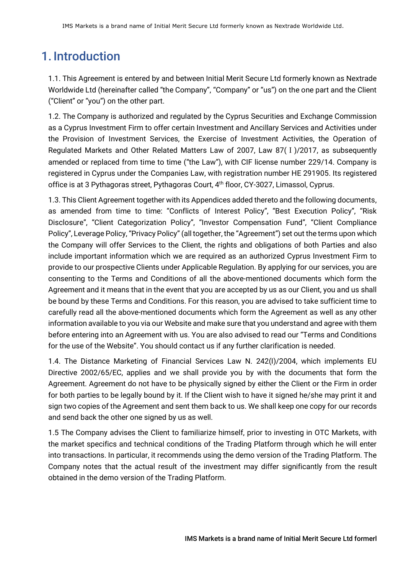# 1. Introduction

1.1. This Agreement is entered by and between Initial Merit Secure Ltd formerly known as Nextrade Worldwide Ltd (hereinafter called "the Company", "Company" or "us") on the one part and the Client ("Client" or "you") on the other part.

1.2. The Company is authorized and regulated by the Cyprus Securities and Exchange Commission as a Cyprus Investment Firm to offer certain Investment and Ancillary Services and Activities under the Provision of Investment Services, the Exercise of Investment Activities, the Operation of Regulated Markets and Other Related Matters Law of 2007, Law 87(Ι)/2017, as subsequently amended or replaced from time to time ("the Law"), with CIF license number 229/14. Company is registered in Cyprus under the Companies Law, with registration number HE 291905. Its registered office is at 3 Pythagoras street, Pythagoras Court, 4<sup>th</sup> floor, CY-3027, Limassol, Cyprus.

1.3. This Client Agreement together with its Appendices added thereto and the following documents, as amended from time to time: "Conflicts of Interest Policy", "Best Execution Policy", "Risk Disclosure", "Client Categorization Policy", "Investor Compensation Fund", "Client Compliance Policy", Leverage Policy, "Privacy Policy" (all together, the "Agreement") set out the terms upon which the Company will offer Services to the Client, the rights and obligations of both Parties and also include important information which we are required as an authorized Cyprus Investment Firm to provide to our prospective Clients under Applicable Regulation. By applying for our services, you are consenting to the Terms and Conditions of all the above-mentioned documents which form the Agreement and it means that in the event that you are accepted by us as our Client, you and us shall be bound by these Terms and Conditions. For this reason, you are advised to take sufficient time to carefully read all the above-mentioned documents which form the Agreement as well as any other information available to you via our Website and make sure that you understand and agree with them before entering into an Agreement with us. You are also advised to read our "Terms and Conditions for the use of the Website". You should contact us if any further clarification is needed.

1.4. The Distance Marketing of Financial Services Law N. 242(I)/2004, which implements EU Directive 2002/65/EC, applies and we shall provide you by with the documents that form the Agreement. Agreement do not have to be physically signed by either the Client or the Firm in order for both parties to be legally bound by it. If the Client wish to have it signed he/she may print it and sign two copies of the Agreement and sent them back to us. We shall keep one copy for our records and send back the other one signed by us as well.

1.5 The Company advises the Client to familiarize himself, prior to investing in OTC Markets, with the market specifics and technical conditions of the Trading Platform through which he will enter into transactions. In particular, it recommends using the demo version of the Trading Platform. The Company notes that the actual result of the investment may differ significantly from the result obtained in the demo version of the Trading Platform.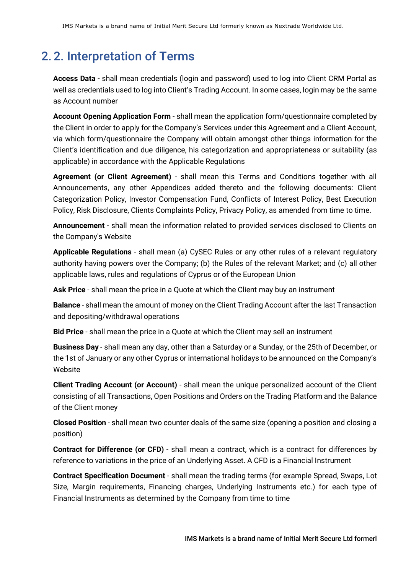# 2. 2. Interpretation of Terms

**Access Data** - shall mean credentials (login and password) used to log into Client CRM Portal as well as credentials used to log into Client's Trading Account. In some cases, login may be the same as Account number

**Account Opening Application Form** - shall mean the application form/questionnaire completed by the Client in order to apply for the Company's Services under this Agreement and a Client Account, via which form/questionnaire the Company will obtain amongst other things information for the Client's identification and due diligence, his categorization and appropriateness or suitability (as applicable) in accordance with the Applicable Regulations

**Agreement (or Client Agreement)** - shall mean this Terms and Conditions together with all Announcements, any other Appendices added thereto and the following documents: Client Categorization Policy, Investor Compensation Fund, Conflicts of Interest Policy, Best Execution Policy, Risk Disclosure, Clients Complaints Policy, Privacy Policy, as amended from time to time.

**Announcement** - shall mean the information related to provided services disclosed to Clients on the Company's Website

**Applicable Regulations** - shall mean (a) CySEC Rules or any other rules of a relevant regulatory authority having powers over the Company; (b) the Rules of the relevant Market; and (c) all other applicable laws, rules and regulations of Cyprus or of the European Union

**Ask Price** - shall mean the price in a Quote at which the Client may buy an instrument

**Balance** - shall mean the amount of money on the Client Trading Account after the last Transaction and depositing/withdrawal operations

**Bid Price** - shall mean the price in a Quote at which the Client may sell an instrument

**Business Day** - shall mean any day, other than a Saturday or a Sunday, or the 25th of December, or the 1st of January or any other Cyprus or international holidays to be announced on the Company's **Website** 

**Client Trading Account (or Account)** - shall mean the unique personalized account of the Client consisting of all Transactions, Open Positions and Orders on the Trading Platform and the Balance of the Client money

**Closed Position** - shall mean two counter deals of the same size (opening a position and closing a position)

**Contract for Difference (or CFD)** - shall mean a contract, which is a contract for differences by reference to variations in the price of an Underlying Asset. A CFD is a Financial Instrument

**Contract Specification Document** - shall mean the trading terms (for example Spread, Swaps, Lot Size, Margin requirements, Financing charges, Underlying Instruments etc.) for each type of Financial Instruments as determined by the Company from time to time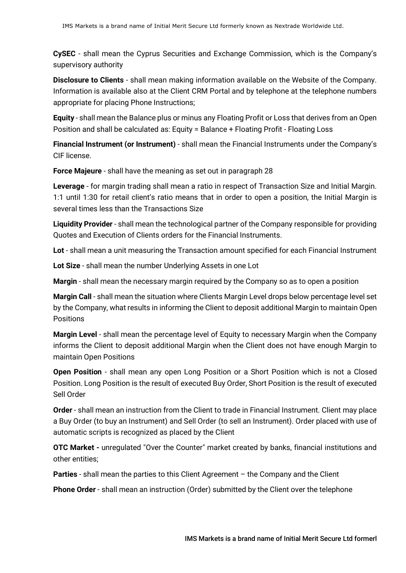**CySEC** - shall mean the Cyprus Securities and Exchange Commission, which is the Company's supervisory authority

**Disclosure to Clients** - shall mean making information available on the Website of the Company. Information is available also at the Client CRM Portal and by telephone at the telephone numbers appropriate for placing Phone Instructions;

**Equity** - shall mean the Balance plus or minus any Floating Profit or Loss that derives from an Open Position and shall be calculated as: Equity = Balance + Floating Profit - Floating Loss

**Financial Instrument (or Instrument)** - shall mean the Financial Instruments under the Company's CIF license.

**Force Majeure** - shall have the meaning as set out in paragraph 28

**Leverage** - for margin trading shall mean a ratio in respect of Transaction Size and Initial Margin. 1:1 until 1:30 for retail client's ratio means that in order to open a position, the Initial Margin is several times less than the Transactions Size

**Liquidity Provider** - shall mean the technological partner of the Company responsible for providing Quotes and Execution of Clients orders for the Financial Instruments.

**Lot** - shall mean a unit measuring the Transaction amount specified for each Financial Instrument

**Lot Size** - shall mean the number Underlying Assets in one Lot

**Margin** - shall mean the necessary margin required by the Company so as to open a position

**Margin Call** - shall mean the situation where Clients Margin Level drops below percentage level set by the Company, what results in informing the Client to deposit additional Margin to maintain Open **Positions** 

**Margin Level** - shall mean the percentage level of Equity to necessary Margin when the Company informs the Client to deposit additional Margin when the Client does not have enough Margin to maintain Open Positions

**Open Position** - shall mean any open Long Position or a Short Position which is not a Closed Position. Long Position is the result of executed Buy Order, Short Position is the result of executed Sell Order

**Order** - shall mean an instruction from the Client to trade in Financial Instrument. Client may place a Buy Order (to buy an Instrument) and Sell Order (to sell an Instrument). Order placed with use of automatic scripts is recognized as placed by the Client

**OTC Market -** unregulated "Over the Counter" market created by banks, financial institutions and other entities;

**Parties** - shall mean the parties to this Client Agreement – the Company and the Client

**Phone Order** - shall mean an instruction (Order) submitted by the Client over the telephone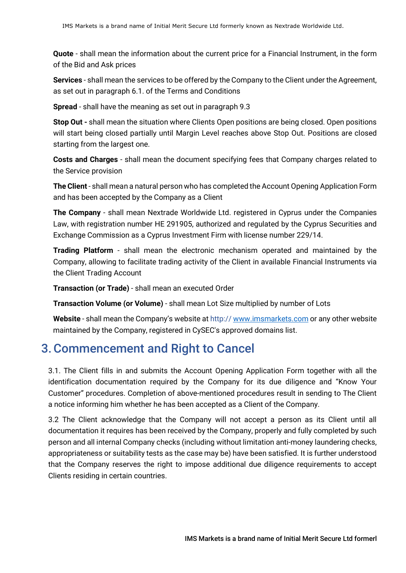**Quote** - shall mean the information about the current price for a Financial Instrument, in the form of the Bid and Ask prices

**Services** - shall mean the services to be offered by the Company to the Client under the Agreement, as set out in paragraph 6.1. of the Terms and Conditions

**Spread** - shall have the meaning as set out in paragraph 9.3

**Stop Out -** shall mean the situation where Clients Open positions are being closed. Open positions will start being closed partially until Margin Level reaches above Stop Out. Positions are closed starting from the largest one.

**Costs and Charges** - shall mean the document specifying fees that Company charges related to the Service provision

**The Client** - shall mean a natural person who has completed the Account Opening Application Form and has been accepted by the Company as a Client

**The Company** - shall mean Nextrade Worldwide Ltd. registered in Cyprus under the Companies Law, with registration number HE 291905, authorized and regulated by the Cyprus Securities and Exchange Commission as a Cyprus Investment Firm with license number 229/14.

**Trading Platform** - shall mean the electronic mechanism operated and maintained by the Company, allowing to facilitate trading activity of the Client in available Financial Instruments via the Client Trading Account

**Transaction (or Trade)** - shall mean an executed Order

**Transaction Volume (or Volume)** - shall mean Lot Size multiplied by number of Lots

**Website** - shall mean the Company's website at http:// www.imsmarkets.com or any other website maintained by the Company, registered in CySEC's approved domains list.

#### 3.Commencement and Right to Cancel

3.1. The Client fills in and submits the Account Opening Application Form together with all the identification documentation required by the Comp[any for its due diligenc](http://www.imsmarkets.com/)e and "Know Your Customer" procedures. Completion of above-mentioned procedures result in sending to The Client a notice informing him whether he has been accepted as a Client of the Company.

3.2 The Client acknowledge that the Company will not accept a person as its Client until all documentation it requires has been received by the Company, properly and fully completed by such person and all internal Company checks (including without limitation anti-money laundering checks, appropriateness or suitability tests as the case may be) have been satisfied. It is further understood that the Company reserves the right to impose additional due diligence requirements to accept Clients residing in certain countries.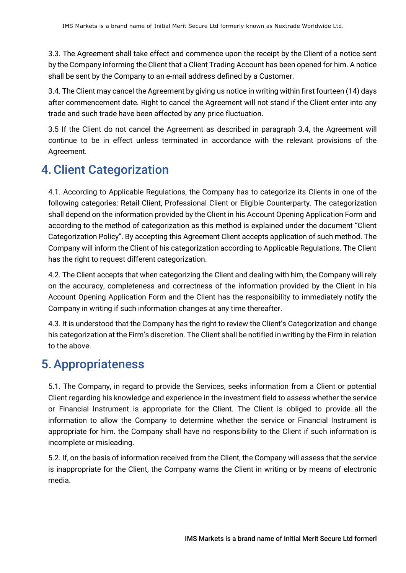3.3. The Agreement shall take effect and commence upon the receipt by the Client of a notice sent by the Company informing the Client that a Client Trading Account has been opened for him. A notice shall be sent by the Company to an e-mail address defined by a Customer.

3.4. The Client may cancel the Agreement by giving us notice in writing within first fourteen (14) days after commencement date. Right to cancel the Agreement will not stand if the Client enter into any trade and such trade have been affected by any price fluctuation.

3.5 If the Client do not cancel the Agreement as described in paragraph 3.4, the Agreement will continue to be in effect unless terminated in accordance with the relevant provisions of the Agreement.

#### 4.Client Categorization

4.1. According to Applicable Regulations, the Company has to categorize its Clients in one of the following categories: Retail Client, Professional Client or Eligible Counterparty. The categorization shall depend on the information provided by the Client in his Account Opening Application Form and according to the method of categorization as this method is explained under the document "Client Categorization Policy". By accepting this Agreement Client accepts application of such method. The Company will inform the Client of his categorization according to Applicable Regulations. The Client has the right to request different categorization.

4.2. The Client accepts that when categorizing the Client and dealing with him, the Company will rely on the accuracy, completeness and correctness of the information provided by the Client in his Account Opening Application Form and the Client has the responsibility to immediately notify the Company in writing if such information changes at any time thereafter.

4.3. It is understood that the Company has the right to review the Client's Categorization and change his categorization at the Firm's discretion. The Client shall be notified in writing by the Firm in relation to the above.

## 5.Appropriateness

5.1. The Company, in regard to provide the Services, seeks information from a Client or potential Client regarding his knowledge and experience in the investment field to assess whether the service or Financial Instrument is appropriate for the Client. The Client is obliged to provide all the information to allow the Company to determine whether the service or Financial Instrument is appropriate for him. the Company shall have no responsibility to the Client if such information is incomplete or misleading.

5.2. If, on the basis of information received from the Client, the Company will assess that the service is inappropriate for the Client, the Company warns the Client in writing or by means of electronic media.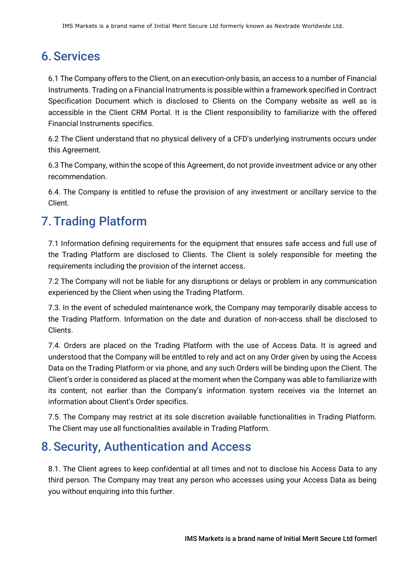# 6.Services

6.1 The Company offers to the Client, on an execution-only basis, an access to a number of Financial Instruments. Trading on a Financial Instruments is possible within a framework specified in Contract Specification Document which is disclosed to Clients on the Company website as well as is accessible in the Client CRM Portal. It is the Client responsibility to familiarize with the offered Financial Instruments specifics.

6.2 The Client understand that no physical delivery of a CFD's underlying instruments occurs under this Agreement.

6.3 The Company, within the scope of this Agreement, do not provide investment advice or any other recommendation.

6.4. The Company is entitled to refuse the provision of any investment or ancillary service to the Client.

# 7.Trading Platform

7.1 Information defining requirements for the equipment that ensures safe access and full use of the Trading Platform are disclosed to Clients. The Client is solely responsible for meeting the requirements including the provision of the internet access.

7.2 The Company will not be liable for any disruptions or delays or problem in any communication experienced by the Client when using the Trading Platform.

7.3. In the event of scheduled maintenance work, the Company may temporarily disable access to the Trading Platform. Information on the date and duration of non-access shall be disclosed to Clients.

7.4. Orders are placed on the Trading Platform with the use of Access Data. It is agreed and understood that the Company will be entitled to rely and act on any Order given by using the Access Data on the Trading Platform or via phone, and any such Orders will be binding upon the Client. The Client's order is considered as placed at the moment when the Company was able to familiarize with its content, not earlier than the Company's information system receives via the Internet an information about Client's Order specifics.

7.5. The Company may restrict at its sole discretion available functionalities in Trading Platform. The Client may use all functionalities available in Trading Platform.

# 8.Security, Authentication and Access

8.1. The Client agrees to keep confidential at all times and not to disclose his Access Data to any third person. The Company may treat any person who accesses using your Access Data as being you without enquiring into this further.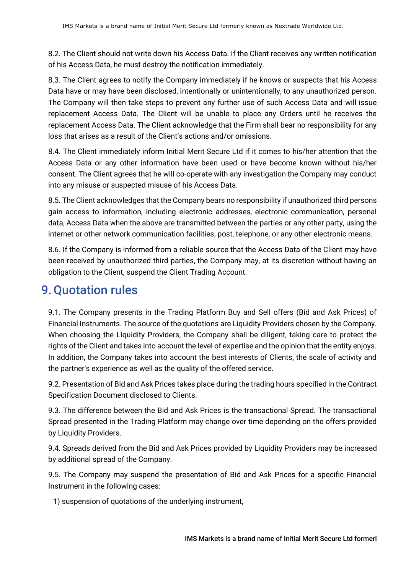8.2. The Client should not write down his Access Data. If the Client receives any written notification of his Access Data, he must destroy the notification immediately.

8.3. The Client agrees to notify the Company immediately if he knows or suspects that his Access Data have or may have been disclosed, intentionally or unintentionally, to any unauthorized person. The Company will then take steps to prevent any further use of such Access Data and will issue replacement Access Data. The Client will be unable to place any Orders until he receives the replacement Access Data. The Client acknowledge that the Firm shall bear no responsibility for any loss that arises as a result of the Client's actions and/or omissions.

8.4. The Client immediately inform Initial Merit Secure Ltd if it comes to his/her attention that the Access Data or any other information have been used or have become known without his/her consent. The Client agrees that he will co-operate with any investigation the Company may conduct into any misuse or suspected misuse of his Access Data.

8.5. The Client acknowledges that the Company bears no responsibility if unauthorized third persons gain access to information, including electronic addresses, electronic communication, personal data, Access Data when the above are transmitted between the parties or any other party, using the internet or other network communication facilities, post, telephone, or any other electronic means.

8.6. If the Company is informed from a reliable source that the Access Data of the Client may have been received by unauthorized third parties, the Company may, at its discretion without having an obligation to the Client, suspend the Client Trading Account.

#### 9.Quotation rules

9.1. The Company presents in the Trading Platform Buy and Sell offers (Bid and Ask Prices) of Financial Instruments. The source of the quotations are Liquidity Providers chosen by the Company. When choosing the Liquidity Providers, the Company shall be diligent, taking care to protect the rights of the Client and takes into account the level of expertise and the opinion that the entity enjoys. In addition, the Company takes into account the best interests of Clients, the scale of activity and the partner's experience as well as the quality of the offered service.

9.2. Presentation of Bid and Ask Prices takes place during the trading hours specified in the Contract Specification Document disclosed to Clients.

9.3. The difference between the Bid and Ask Prices is the transactional Spread. The transactional Spread presented in the Trading Platform may change over time depending on the offers provided by Liquidity Providers.

9.4. Spreads derived from the Bid and Ask Prices provided by Liquidity Providers may be increased by additional spread of the Company.

9.5. The Company may suspend the presentation of Bid and Ask Prices for a specific Financial Instrument in the following cases:

1) suspension of quotations of the underlying instrument,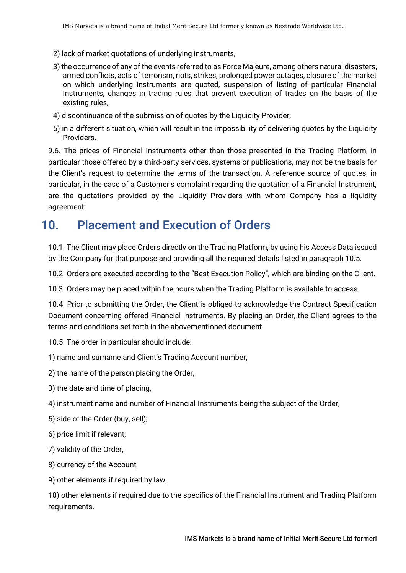- 2) lack of market quotations of underlying instruments,
- 3) the occurrence of any of the events referred to as Force Majeure, among others natural disasters, armed conflicts, acts of terrorism, riots, strikes, prolonged power outages, closure of the market on which underlying instruments are quoted, suspension of listing of particular Financial Instruments, changes in trading rules that prevent execution of trades on the basis of the existing rules,
- 4) discontinuance of the submission of quotes by the Liquidity Provider,
- 5) in a different situation, which will result in the impossibility of delivering quotes by the Liquidity Providers.

9.6. The prices of Financial Instruments other than those presented in the Trading Platform, in particular those offered by a third-party services, systems or publications, may not be the basis for the Client's request to determine the terms of the transaction. A reference source of quotes, in particular, in the case of a Customer's complaint regarding the quotation of a Financial Instrument, are the quotations provided by the Liquidity Providers with whom Company has a liquidity agreement.

# 10. Placement and Execution of Orders

10.1. The Client may place Orders directly on the Trading Platform, by using his Access Data issued by the Company for that purpose and providing all the required details listed in paragraph 10.5.

10.2. Orders are executed according to the "Best Execution Policy", which are binding on the Client.

10.3. Orders may be placed within the hours when the Trading Platform is available to access.

10.4. Prior to submitting the Order, the Client is obliged to acknowledge the Contract Specification Document concerning offered Financial Instruments. By placing an Order, the Client agrees to the terms and conditions set forth in the abovementioned document.

10.5. The order in particular should include:

1) name and surname and Client's Trading Account number,

2) the name of the person placing the Order,

- 3) the date and time of placing,
- 4) instrument name and number of Financial Instruments being the subject of the Order,
- 5) side of the Order (buy, sell);
- 6) price limit if relevant,
- 7) validity of the Order,
- 8) currency of the Account,
- 9) other elements if required by law,

10) other elements if required due to the specifics of the Financial Instrument and Trading Platform requirements.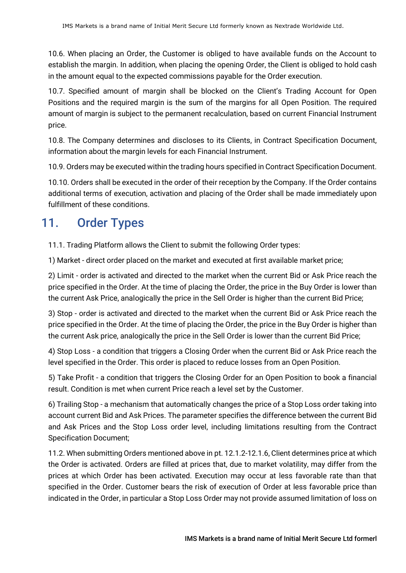10.6. When placing an Order, the Customer is obliged to have available funds on the Account to establish the margin. In addition, when placing the opening Order, the Client is obliged to hold cash in the amount equal to the expected commissions payable for the Order execution.

10.7. Specified amount of margin shall be blocked on the Client's Trading Account for Open Positions and the required margin is the sum of the margins for all Open Position. The required amount of margin is subject to the permanent recalculation, based on current Financial Instrument price.

10.8. The Company determines and discloses to its Clients, in Contract Specification Document, information about the margin levels for each Financial Instrument.

10.9. Orders may be executed within the trading hours specified in Contract Specification Document.

10.10. Orders shall be executed in the order of their reception by the Company. If the Order contains additional terms of execution, activation and placing of the Order shall be made immediately upon fulfillment of these conditions.

# 11. Order Types

11.1. Trading Platform allows the Client to submit the following Order types:

1) Market - direct order placed on the market and executed at first available market price;

2) Limit - order is activated and directed to the market when the current Bid or Ask Price reach the price specified in the Order. At the time of placing the Order, the price in the Buy Order is lower than the current Ask Price, analogically the price in the Sell Order is higher than the current Bid Price;

3) Stop - order is activated and directed to the market when the current Bid or Ask Price reach the price specified in the Order. At the time of placing the Order, the price in the Buy Order is higher than the current Ask price, analogically the price in the Sell Order is lower than the current Bid Price;

4) Stop Loss - a condition that triggers a Closing Order when the current Bid or Ask Price reach the level specified in the Order. This order is placed to reduce losses from an Open Position.

5) Take Profit - a condition that triggers the Closing Order for an Open Position to book a financial result. Condition is met when current Price reach a level set by the Customer.

6) Trailing Stop - a mechanism that automatically changes the price of a Stop Loss order taking into account current Bid and Ask Prices. The parameter specifies the difference between the current Bid and Ask Prices and the Stop Loss order level, including limitations resulting from the Contract Specification Document;

11.2. When submitting Orders mentioned above in pt. 12.1.2-12.1.6, Client determines price at which the Order is activated. Orders are filled at prices that, due to market volatility, may differ from the prices at which Order has been activated. Execution may occur at less favorable rate than that specified in the Order. Customer bears the risk of execution of Order at less favorable price than indicated in the Order, in particular a Stop Loss Order may not provide assumed limitation of loss on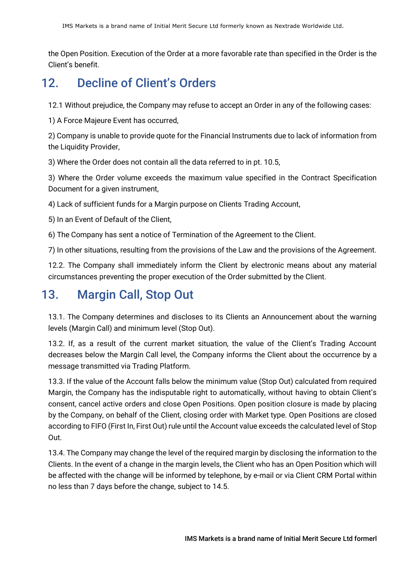the Open Position. Execution of the Order at a more favorable rate than specified in the Order is the Client's benefit.

## 12. Decline of Client's Orders

12.1 Without prejudice, the Company may refuse to accept an Order in any of the following cases:

1) A Force Majeure Event has occurred,

2) Company is unable to provide quote for the Financial Instruments due to lack of information from the Liquidity Provider,

3) Where the Order does not contain all the data referred to in pt. 10.5,

3) Where the Order volume exceeds the maximum value specified in the Contract Specification Document for a given instrument,

4) Lack of sufficient funds for a Margin purpose on Clients Trading Account,

5) In an Event of Default of the Client,

6) The Company has sent a notice of Termination of the Agreement to the Client.

7) In other situations, resulting from the provisions of the Law and the provisions of the Agreement.

12.2. The Company shall immediately inform the Client by electronic means about any material circumstances preventing the proper execution of the Order submitted by the Client.

#### 13. Margin Call, Stop Out

13.1. The Company determines and discloses to its Clients an Announcement about the warning levels (Margin Call) and minimum level (Stop Out).

13.2. If, as a result of the current market situation, the value of the Client's Trading Account decreases below the Margin Call level, the Company informs the Client about the occurrence by a message transmitted via Trading Platform.

13.3. If the value of the Account falls below the minimum value (Stop Out) calculated from required Margin, the Company has the indisputable right to automatically, without having to obtain Client's consent, cancel active orders and close Open Positions. Open position closure is made by placing by the Company, on behalf of the Client, closing order with Market type. Open Positions are closed according to FIFO (First In, First Out) rule until the Account value exceeds the calculated level of Stop Out.

13.4. The Company may change the level of the required margin by disclosing the information to the Clients. In the event of a change in the margin levels, the Client who has an Open Position which will be affected with the change will be informed by telephone, by e-mail or via Client CRM Portal within no less than 7 days before the change, subject to 14.5.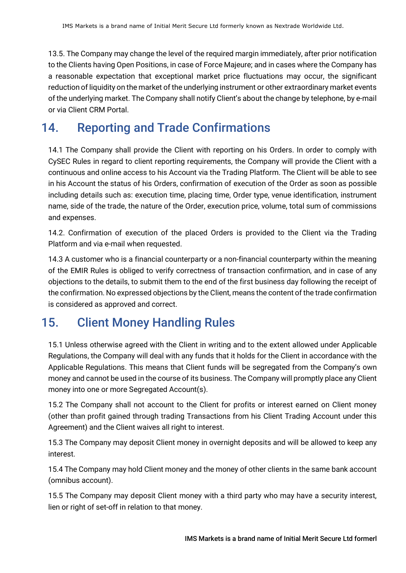13.5. The Company may change the level of the required margin immediately, after prior notification to the Clients having Open Positions, in case of Force Majeure; and in cases where the Company has a reasonable expectation that exceptional market price fluctuations may occur, the significant reduction of liquidity on the market of the underlying instrument or other extraordinary market events of the underlying market. The Company shall notify Client's about the change by telephone, by e-mail or via Client CRM Portal.

# 14. Reporting and Trade Confirmations

14.1 The Company shall provide the Client with reporting on his Orders. In order to comply with CySEC Rules in regard to client reporting requirements, the Company will provide the Client with a continuous and online access to his Account via the Trading Platform. The Client will be able to see in his Account the status of his Orders, confirmation of execution of the Order as soon as possible including details such as: execution time, placing time, Order type, venue identification, instrument name, side of the trade, the nature of the Order, execution price, volume, total sum of commissions and expenses.

14.2. Confirmation of execution of the placed Orders is provided to the Client via the Trading Platform and via e-mail when requested.

14.3 A customer who is a financial counterparty or a non-financial counterparty within the meaning of the EMIR Rules is obliged to verify correctness of transaction confirmation, and in case of any objections to the details, to submit them to the end of the first business day following the receipt of the confirmation. No expressed objections by the Client, means the content of the trade confirmation is considered as approved and correct.

# 15. Client Money Handling Rules

15.1 Unless otherwise agreed with the Client in writing and to the extent allowed under Applicable Regulations, the Company will deal with any funds that it holds for the Client in accordance with the Applicable Regulations. This means that Client funds will be segregated from the Company's own money and cannot be used in the course of its business. The Company will promptly place any Client money into one or more Segregated Account(s).

15.2 The Company shall not account to the Client for profits or interest earned on Client money (other than profit gained through trading Transactions from his Client Trading Account under this Agreement) and the Client waives all right to interest.

15.3 The Company may deposit Client money in overnight deposits and will be allowed to keep any interest.

15.4 The Company may hold Client money and the money of other clients in the same bank account (omnibus account).

15.5 The Company may deposit Client money with a third party who may have a security interest, lien or right of set-off in relation to that money.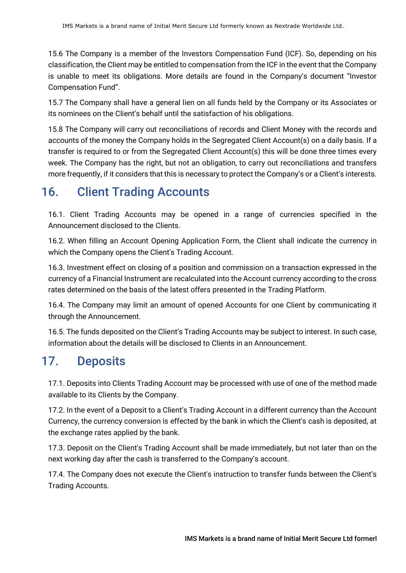15.6 The Company is a member of the Investors Compensation Fund (ICF). So, depending on his classification, the Client may be entitled to compensation from the ICF in the event that the Company is unable to meet its obligations. More details are found in the Company's document "Investor Compensation Fund".

15.7 The Company shall have a general lien on all funds held by the Company or its Associates or its nominees on the Client's behalf until the satisfaction of his obligations.

15.8 The Company will carry out reconciliations of records and Client Money with the records and accounts of the money the Company holds in the Segregated Client Account(s) on a daily basis. If a transfer is required to or from the Segregated Client Account(s) this will be done three times every week. The Company has the right, but not an obligation, to carry out reconciliations and transfers more frequently, if it considers that this is necessary to protect the Company's or a Client's interests.

# 16. Client Trading Accounts

16.1. Client Trading Accounts may be opened in a range of currencies specified in the Announcement disclosed to the Clients.

16.2. When filling an Account Opening Application Form, the Client shall indicate the currency in which the Company opens the Client's Trading Account.

16.3. Investment effect on closing of a position and commission on a transaction expressed in the currency of a Financial Instrument are recalculated into the Account currency according to the cross rates determined on the basis of the latest offers presented in the Trading Platform.

16.4. The Company may limit an amount of opened Accounts for one Client by communicating it through the Announcement.

16.5. The funds deposited on the Client's Trading Accounts may be subject to interest. In such case, information about the details will be disclosed to Clients in an Announcement.

# 17. Deposits

17.1. Deposits into Clients Trading Account may be processed with use of one of the method made available to its Clients by the Company.

17.2. In the event of a Deposit to a Client's Trading Account in a different currency than the Account Currency, the currency conversion is effected by the bank in which the Client's cash is deposited, at the exchange rates applied by the bank.

17.3. Deposit on the Client's Trading Account shall be made immediately, but not later than on the next working day after the cash is transferred to the Company's account.

17.4. The Company does not execute the Client's instruction to transfer funds between the Client's Trading Accounts.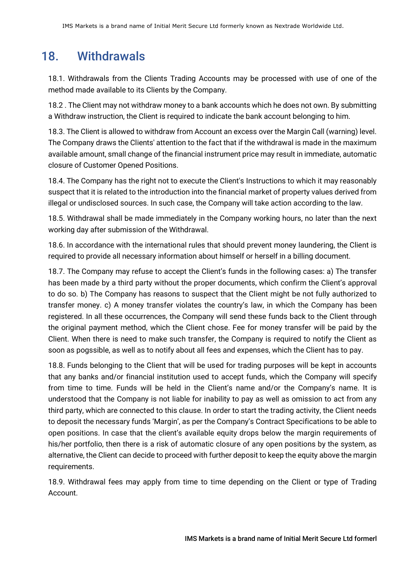## 18. Withdrawals

18.1. Withdrawals from the Clients Trading Accounts may be processed with use of one of the method made available to its Clients by the Company.

18.2 . The Client may not withdraw money to a bank accounts which he does not own. By submitting a Withdraw instruction, the Client is required to indicate the bank account belonging to him.

18.3. The Client is allowed to withdraw from Account an excess over the Margin Call (warning) level. The Company draws the Clients' attention to the fact that if the withdrawal is made in the maximum available amount, small change of the financial instrument price may result in immediate, automatic closure of Customer Opened Positions.

18.4. The Company has the right not to execute the Client's Instructions to which it may reasonably suspect that it is related to the introduction into the financial market of property values derived from illegal or undisclosed sources. In such case, the Company will take action according to the law.

18.5. Withdrawal shall be made immediately in the Company working hours, no later than the next working day after submission of the Withdrawal.

18.6. In accordance with the international rules that should prevent money laundering, the Client is required to provide all necessary information about himself or herself in a billing document.

18.7. The Company may refuse to accept the Client's funds in the following cases: a) The transfer has been made by a third party without the proper documents, which confirm the Client's approval to do so. b) The Company has reasons to suspect that the Client might be not fully authorized to transfer money. c) A money transfer violates the country's law, in which the Company has been registered. In all these occurrences, the Company will send these funds back to the Client through the original payment method, which the Client chose. Fee for money transfer will be paid by the Client. When there is need to make such transfer, the Company is required to notify the Client as soon as pogssible, as well as to notify about all fees and expenses, which the Client has to pay.

18.8. Funds belonging to the Client that will be used for trading purposes will be kept in accounts that any banks and/or financial institution used to accept funds, which the Company will specify from time to time. Funds will be held in the Client's name and/or the Company's name. It is understood that the Company is not liable for inability to pay as well as omission to act from any third party, which are connected to this clause. In order to start the trading activity, the Client needs to deposit the necessary funds 'Margin', as per the Company's Contract Specifications to be able to open positions. In case that the client's available equity drops below the margin requirements of his/her portfolio, then there is a risk of automatic closure of any open positions by the system, as alternative, the Client can decide to proceed with further deposit to keep the equity above the margin requirements.

18.9. Withdrawal fees may apply from time to time depending on the Client or type of Trading Account.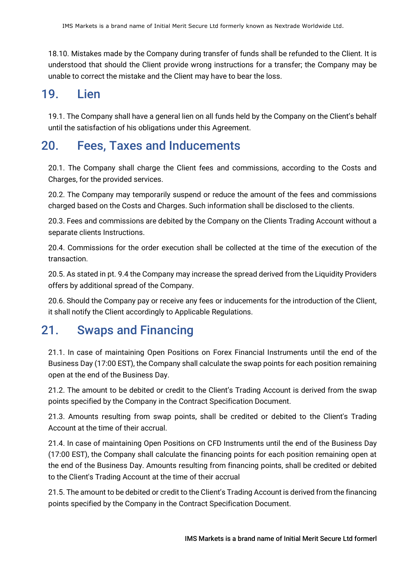18.10. Mistakes made by the Company during transfer of funds shall be refunded to the Client. It is understood that should the Client provide wrong instructions for a transfer; the Company may be unable to correct the mistake and the Client may have to bear the loss.

## 19. Lien

19.1. The Company shall have a general lien on all funds held by the Company on the Client's behalf until the satisfaction of his obligations under this Agreement.

# 20. Fees, Taxes and Inducements

20.1. The Company shall charge the Client fees and commissions, according to the Costs and Charges, for the provided services.

20.2. The Company may temporarily suspend or reduce the amount of the fees and commissions charged based on the Costs and Charges. Such information shall be disclosed to the clients.

20.3. Fees and commissions are debited by the Company on the Clients Trading Account without a separate clients Instructions.

20.4. Commissions for the order execution shall be collected at the time of the execution of the transaction.

20.5. As stated in pt. 9.4 the Company may increase the spread derived from the Liquidity Providers offers by additional spread of the Company.

20.6. Should the Company pay or receive any fees or inducements for the introduction of the Client, it shall notify the Client accordingly to Applicable Regulations.

# 21. Swaps and Financing

21.1. In case of maintaining Open Positions on Forex Financial Instruments until the end of the Business Day (17:00 EST), the Company shall calculate the swap points for each position remaining open at the end of the Business Day.

21.2. The amount to be debited or credit to the Client's Trading Account is derived from the swap points specified by the Company in the Contract Specification Document.

21.3. Amounts resulting from swap points, shall be credited or debited to the Client's Trading Account at the time of their accrual.

21.4. In case of maintaining Open Positions on CFD Instruments until the end of the Business Day (17:00 EST), the Company shall calculate the financing points for each position remaining open at the end of the Business Day. Amounts resulting from financing points, shall be credited or debited to the Client's Trading Account at the time of their accrual

21.5. The amount to be debited or credit to the Client's Trading Account is derived from the financing points specified by the Company in the Contract Specification Document.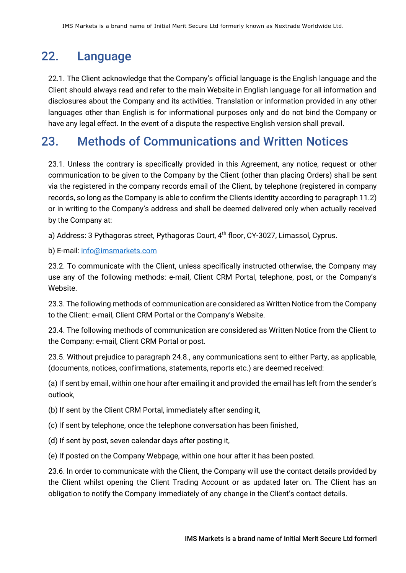# 22. Language

22.1. The Client acknowledge that the Company's official language is the English language and the Client should always read and refer to the main Website in English language for all information and disclosures about the Company and its activities. Translation or information provided in any other languages other than English is for informational purposes only and do not bind the Company or have any legal effect. In the event of a dispute the respective English version shall prevail.

## 23. Methods of Communications and Written Notices

23.1. Unless the contrary is specifically provided in this Agreement, any notice, request or other communication to be given to the Company by the Client (other than placing Orders) shall be sent via the registered in the company records email of the Client, by telephone (registered in company records, so long as the Company is able to confirm the Clients identity according to paragraph 11.2) or in writing to the Company's address and shall be deemed delivered only when actually received by the Company at:

a) Address: 3 Pythagoras street, Pythagoras Court, 4th floor, CY-3027, Limassol, Cyprus.

b) E-mail: info@imsmarkets.com

23.2. To communicate with the Client, unless specifically instructed otherwise, the Company may use any of the following methods: e-mail, Client CRM Portal, telephone, post, or the Company's Website.

23.3. The following methods of communication are considered as Written Notice from the Company to the Client: e-mail, Client CRM Portal or the Company's Website.

23.4. The following methods of communication are considered as Written Notice from the Client to the Company: e-mail, Client CRM Portal or post.

23.5. Without prejudice to paragraph 24.8., any communications sent to either Party, as applicable, (documents, notices, confirmations, statements, reports etc.) are deemed received:

(a) If sent by email, within one hour after emailing it and provided the email has left from the sender's outlook,

(b) If sent by the Client CRM Portal, immediately after sending it,

(c) If sent by telephone, once the telephone conversation has been finished,

(d) If sent by post, seven calendar days after posting it,

(e) If posted on the Company Webpage, within one hour after it has been posted.

23.6. In order to communicate with the Client, the Company will use the contact details provided by the Client whilst opening the Client Trading Account or as updated later on. The Client has an obligation to notify the Company immediately of any change in the Client's contact details.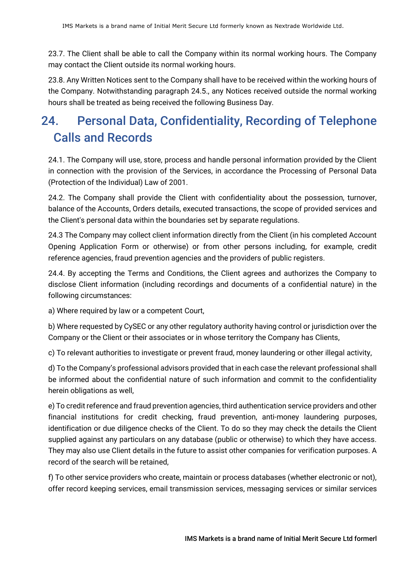23.7. The Client shall be able to call the Company within its normal working hours. The Company may contact the Client outside its normal working hours.

23.8. Any Written Notices sent to the Company shall have to be received within the working hours of the Company. Notwithstanding paragraph 24.5., any Notices received outside the normal working hours sh[all be treated as being rec](mailto:info@imsmarkets.com)eived the following Business Day.

# 24. Personal Data, Confidentiality, Recording of Telephone Calls and Records

24.1. The Company will use, store, process and handle personal information provided by the Client in connection with the provision of the Services, in accordance the Processing of Personal Data (Protection of the Individual) Law of 2001.

24.2. The Company shall provide the Client with confidentiality about the possession, turnover, balance of the Accounts, Orders details, executed transactions, the scope of provided services and the Client's personal data within the boundaries set by separate regulations.

24.3 The Company may collect client information directly from the Client (in his completed Account Opening Application Form or otherwise) or from other persons including, for example, credit reference agencies, fraud prevention agencies and the providers of public registers.

24.4. By accepting the Terms and Conditions, the Client agrees and authorizes the Company to disclose Client information (including recordings and documents of a confidential nature) in the following circumstances:

a) Where required by law or a competent Court,

b) Where requested by CySEC or any other regulatory authority having control or jurisdiction over the Company or the Client or their associates or in whose territory the Company has Clients,

c) To relevant authorities to investigate or prevent fraud, money laundering or other illegal activity,

d) To the Company's professional advisors provided that in each case the relevant professional shall be informed about the confidential nature of such information and commit to the confidentiality herein obligations as well,

e) To credit reference and fraud prevention agencies, third authentication service providers and other financial institutions for credit checking, fraud prevention, anti-money laundering purposes, identification or due diligence checks of the Client. To do so they may check the details the Client supplied against any particulars on any database (public or otherwise) to which they have access. They may also use Client details in the future to assist other companies for verification purposes. A record of the search will be retained,

f) To other service providers who create, maintain or process databases (whether electronic or not), offer record keeping services, email transmission services, messaging services or similar services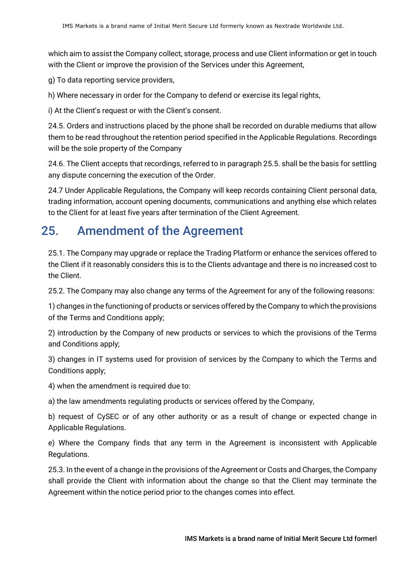which aim to assist the Company collect, storage, process and use Client information or get in touch with the Client or improve the provision of the Services under this Agreement,

g) To data reporting service providers,

h) Where necessary in order for the Company to defend or exercise its legal rights,

i) At the Client's request or with the Client's consent.

24.5. Orders and instructions placed by the phone shall be recorded on durable mediums that allow them to be read throughout the retention period specified in the Applicable Regulations. Recordings will be the sole property of the Company

24.6. The Client accepts that recordings, referred to in paragraph 25.5. shall be the basis for settling any dispute concerning the execution of the Order.

24.7 Under Applicable Regulations, the Company will keep records containing Client personal data, trading information, account opening documents, communications and anything else which relates to the Client for at least five years after termination of the Client Agreement.

## 25. Amendment of the Agreement

25.1. The Company may upgrade or replace the Trading Platform or enhance the services offered to the Client if it reasonably considers this is to the Clients advantage and there is no increased cost to the Client.

25.2. The Company may also change any terms of the Agreement for any of the following reasons:

1) changes in the functioning of products or services offered by the Company to which the provisions of the Terms and Conditions apply;

2) introduction by the Company of new products or services to which the provisions of the Terms and Conditions apply;

3) changes in IT systems used for provision of services by the Company to which the Terms and Conditions apply;

4) when the amendment is required due to:

a) the law amendments regulating products or services offered by the Company,

b) request of CySEC or of any other authority or as a result of change or expected change in Applicable Regulations.

e) Where the Company finds that any term in the Agreement is inconsistent with Applicable Regulations.

25.3. In the event of a change in the provisions of the Agreement or Costs and Charges, the Company shall provide the Client with information about the change so that the Client may terminate the Agreement within the notice period prior to the changes comes into effect.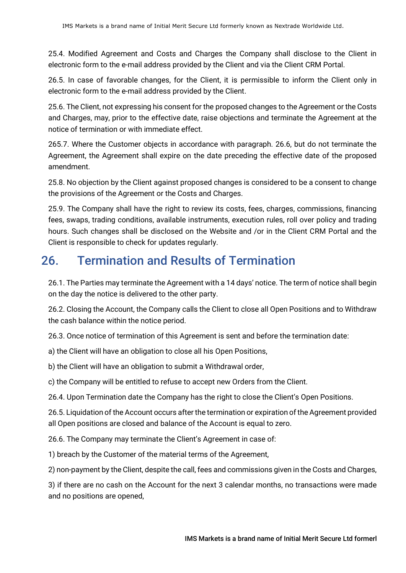25.4. Modified Agreement and Costs and Charges the Company shall disclose to the Client in electronic form to the e-mail address provided by the Client and via the Client CRM Portal.

26.5. In case of favorable changes, for the Client, it is permissible to inform the Client only in electronic form to the e-mail address provided by the Client.

25.6. The Client, not expressing his consent for the proposed changes to the Agreement or the Costs and Charges, may, prior to the effective date, raise objections and terminate the Agreement at the notice of termination or with immediate effect.

265.7. Where the Customer objects in accordance with paragraph. 26.6, but do not terminate the Agreement, the Agreement shall expire on the date preceding the effective date of the proposed amendment.

25.8. No objection by the Client against proposed changes is considered to be a consent to change the provisions of the Agreement or the Costs and Charges.

25.9. The Company shall have the right to review its costs, fees, charges, commissions, financing fees, swaps, trading conditions, available instruments, execution rules, roll over policy and trading hours. Such changes shall be disclosed on the Website and /or in the Client CRM Portal and the Client is responsible to check for updates regularly.

# 26. Termination and Results of Termination

26.1. The Parties may terminate the Agreement with a 14 days' notice. The term of notice shall begin on the day the notice is delivered to the other party.

26.2. Closing the Account, the Company calls the Client to close all Open Positions and to Withdraw the cash balance within the notice period.

26.3. Once notice of termination of this Agreement is sent and before the termination date:

a) the Client will have an obligation to close all his Open Positions,

b) the Client will have an obligation to submit a Withdrawal order,

c) the Company will be entitled to refuse to accept new Orders from the Client.

26.4. Upon Termination date the Company has the right to close the Client's Open Positions.

26.5. Liquidation of the Account occurs after the termination or expiration of the Agreement provided all Open positions are closed and balance of the Account is equal to zero.

26.6. The Company may terminate the Client's Agreement in case of:

1) breach by the Customer of the material terms of the Agreement,

2) non-payment by the Client, despite the call, fees and commissions given in the Costs and Charges,

3) if there are no cash on the Account for the next 3 calendar months, no transactions were made and no positions are opened,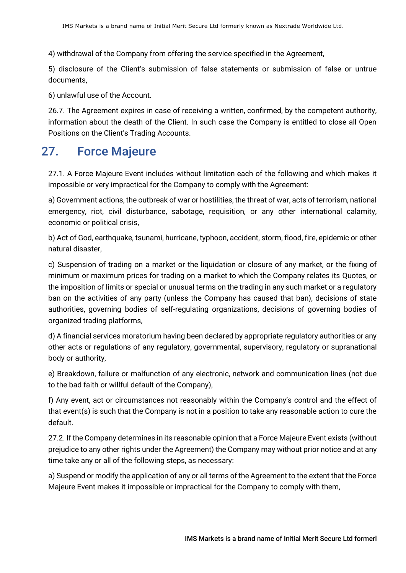4) withdrawal of the Company from offering the service specified in the Agreement,

5) disclosure of the Client's submission of false statements or submission of false or untrue documents,

6) unlawful use of the Account.

26.7. The Agreement expires in case of receiving a written, confirmed, by the competent authority, information about the death of the Client. In such case the Company is entitled to close all Open Positions on the Client's Trading Accounts.

## 27. Force Majeure

27.1. A Force Majeure Event includes without limitation each of the following and which makes it impossible or very impractical for the Company to comply with the Agreement:

a) Government actions, the outbreak of war or hostilities, the threat of war, acts of terrorism, national emergency, riot, civil disturbance, sabotage, requisition, or any other international calamity, economic or political crisis,

b) Act of God, earthquake, tsunami, hurricane, typhoon, accident, storm, flood, fire, epidemic or other natural disaster,

c) Suspension of trading on a market or the liquidation or closure of any market, or the fixing of minimum or maximum prices for trading on a market to which the Company relates its Quotes, or the imposition of limits or special or unusual terms on the trading in any such market or a regulatory ban on the activities of any party (unless the Company has caused that ban), decisions of state authorities, governing bodies of self-regulating organizations, decisions of governing bodies of organized trading platforms,

d) A financial services moratorium having been declared by appropriate regulatory authorities or any other acts or regulations of any regulatory, governmental, supervisory, regulatory or supranational body or authority,

e) Breakdown, failure or malfunction of any electronic, network and communication lines (not due to the bad faith or willful default of the Company),

f) Any event, act or circumstances not reasonably within the Company's control and the effect of that event(s) is such that the Company is not in a position to take any reasonable action to cure the default.

27.2. If the Company determines in its reasonable opinion that a Force Majeure Event exists (without prejudice to any other rights under the Agreement) the Company may without prior notice and at any time take any or all of the following steps, as necessary:

a) Suspend or modify the application of any or all terms of the Agreement to the extent that the Force Majeure Event makes it impossible or impractical for the Company to comply with them,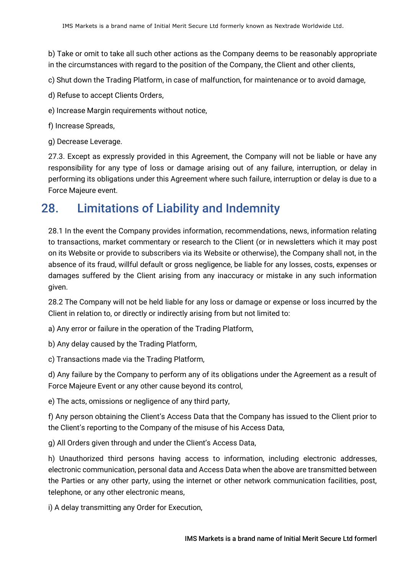b) Take or omit to take all such other actions as the Company deems to be reasonably appropriate in the circumstances with regard to the position of the Company, the Client and other clients,

c) Shut down the Trading Platform, in case of malfunction, for maintenance or to avoid damage,

- d) Refuse to accept Clients Orders,
- e) Increase Margin requirements without notice,
- f) Increase Spreads,
- g) Decrease Leverage.

27.3. Except as expressly provided in this Agreement, the Company will not be liable or have any responsibility for any type of loss or damage arising out of any failure, interruption, or delay in performing its obligations under this Agreement where such failure, interruption or delay is due to a Force Majeure event.

#### 28. Limitations of Liability and Indemnity

28.1 In the event the Company provides information, recommendations, news, information relating to transactions, market commentary or research to the Client (or in newsletters which it may post on its Website or provide to subscribers via its Website or otherwise), the Company shall not, in the absence of its fraud, willful default or gross negligence, be liable for any losses, costs, expenses or damages suffered by the Client arising from any inaccuracy or mistake in any such information given.

28.2 The Company will not be held liable for any loss or damage or expense or loss incurred by the Client in relation to, or directly or indirectly arising from but not limited to:

a) Any error or failure in the operation of the Trading Platform,

b) Any delay caused by the Trading Platform,

c) Transactions made via the Trading Platform,

d) Any failure by the Company to perform any of its obligations under the Agreement as a result of Force Majeure Event or any other cause beyond its control,

e) The acts, omissions or negligence of any third party,

f) Any person obtaining the Client's Access Data that the Company has issued to the Client prior to the Client's reporting to the Company of the misuse of his Access Data,

g) All Orders given through and under the Client's Access Data,

h) Unauthorized third persons having access to information, including electronic addresses, electronic communication, personal data and Access Data when the above are transmitted between the Parties or any other party, using the internet or other network communication facilities, post, telephone, or any other electronic means,

i) A delay transmitting any Order for Execution,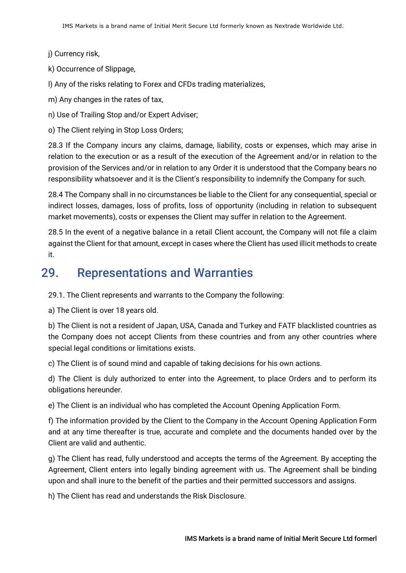j) Currency risk,

k) Occurrence of Slippage,

l) Any of the risks relating to Forex and CFDs trading materializes,

m) Any changes in the rates of tax,

n) Use of Trailing Stop and/or Expert Adviser;

o) The Client relying in Stop Loss Orders;

28.3 If the Company incurs any claims, damage, liability, costs or expenses, which may arise in relation to the execution or as a result of the execution of the Agreement and/or in relation to the provision of the Services and/or in relation to any Order it is understood that the Company bears no responsibility whatsoever and it is the Client's responsibility to indemnify the Company for such.

28.4 The Company shall in no circumstances be liable to the Client for any consequential, special or indirect losses, damages, loss of profits, loss of opportunity (including in relation to subsequent market movements), costs or expenses the Client may suffer in relation to the Agreement.

28.5 In the event of a negative balance in a retail Client account, the Company will not file a claim against the Client for that amount, except in cases where the Client has used illicit methods to create it.

#### 29. Representations and Warranties

29.1. The Client represents and warrants to the Company the following:

a) The Client is over 18 years old.

b) The Client is not a resident of Japan, USA, Canada and Turkey and FATF blacklisted countries as the Company does not accept Clients from these countries and from any other countries where special legal conditions or limitations exists.

c) The Client is of sound mind and capable of taking decisions for his own actions.

d) The Client is duly authorized to enter into the Agreement, to place Orders and to perform its obligations hereunder.

e) The Client is an individual who has completed the Account Opening Application Form.

f) The information provided by the Client to the Company in the Account Opening Application Form and at any time thereafter is true, accurate and complete and the documents handed over by the Client are valid and authentic.

g) The Client has read, fully understood and accepts the terms of the Agreement. By accepting the Agreement, Client enters into legally binding agreement with us. The Agreement shall be binding upon and shall inure to the benefit of the parties and their permitted successors and assigns.

h) The Client has read and understands the Risk Disclosure.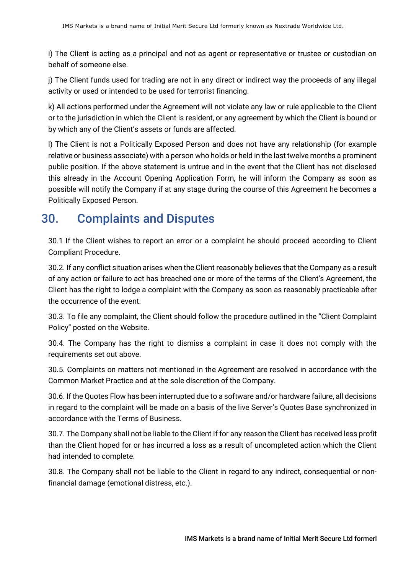i) The Client is acting as a principal and not as agent or representative or trustee or custodian on behalf of someone else.

j) The Client funds used for trading are not in any direct or indirect way the proceeds of any illegal activity or used or intended to be used for terrorist financing.

k) All actions performed under the Agreement will not violate any law or rule applicable to the Client or to the jurisdiction in which the Client is resident, or any agreement by which the Client is bound or by which any of the Client's assets or funds are affected.

l) The Client is not a Politically Exposed Person and does not have any relationship (for example relative or business associate) with a person who holds or held in the last twelve months a prominent public position. If the above statement is untrue and in the event that the Client has not disclosed this already in the Account Opening Application Form, he will inform the Company as soon as possible will notify the Company if at any stage during the course of this Agreement he becomes a Politically Exposed Person.

# 30. Complaints and Disputes

30.1 If the Client wishes to report an error or a complaint he should proceed according to Client Compliant Procedure.

30.2. If any conflict situation arises when the Client reasonably believes that the Company as a result of any action or failure to act has breached one or more of the terms of the Client's Agreement, the Client has the right to lodge a complaint with the Company as soon as reasonably practicable after the occurrence of the event.

30.3. To file any complaint, the Client should follow the procedure outlined in the "Client Complaint Policy" posted on the Website.

30.4. The Company has the right to dismiss a complaint in case it does not comply with the requirements set out above.

30.5. Complaints on matters not mentioned in the Agreement are resolved in accordance with the Common Market Practice and at the sole discretion of the Company.

30.6. If the Quotes Flow has been interrupted due to a software and/or hardware failure, all decisions in regard to the complaint will be made on a basis of the live Server's Quotes Base synchronized in accordance with the Terms of Business.

30.7. The Company shall not be liable to the Client if for any reason the Client has received less profit than the Client hoped for or has incurred a loss as a result of uncompleted action which the Client had intended to complete.

30.8. The Company shall not be liable to the Client in regard to any indirect, consequential or nonfinancial damage (emotional distress, etc.).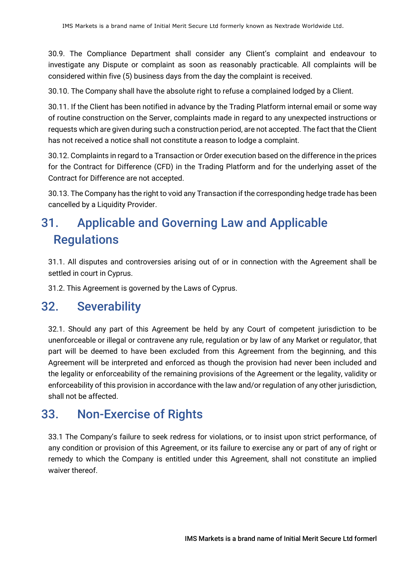30.9. The Compliance Department shall consider any Client's complaint and endeavour to investigate any Dispute or complaint as soon as reasonably practicable. All complaints will be considered within five (5) business days from the day the complaint is received.

30.10. The Company shall have the absolute right to refuse a complained lodged by a Client.

30.11. If the Client has been notified in advance by the Trading Platform internal email or some way of routine construction on the Server, complaints made in regard to any unexpected instructions or requests which are given during such a construction period, are not accepted. The fact that the Client has not received a notice shall not constitute a reason to lodge a complaint.

30.12. Complaints in regard to a Transaction or Order execution based on the difference in the prices for the Contract for Difference (CFD) in the Trading Platform and for the underlying asset of the Contract for Difference are not accepted.

30.13. The Company has the right to void any Transaction if the corresponding hedge trade has been cancelled by a Liquidity Provider.

# 31. Applicable and Governing Law and Applicable **Regulations**

31.1. All disputes and controversies arising out of or in connection with the Agreement shall be settled in court in Cyprus.

31.2. This Agreement is governed by the Laws of Cyprus.

#### 32. Severability

32.1. Should any part of this Agreement be held by any Court of competent jurisdiction to be unenforceable or illegal or contravene any rule, regulation or by law of any Market or regulator, that part will be deemed to have been excluded from this Agreement from the beginning, and this Agreement will be interpreted and enforced as though the provision had never been included and the legality or enforceability of the remaining provisions of the Agreement or the legality, validity or enforceability of this provision in accordance with the law and/or regulation of any other jurisdiction, shall not be affected.

## 33. Non-Exercise of Rights

33.1 The Company's failure to seek redress for violations, or to insist upon strict performance, of any condition or provision of this Agreement, or its failure to exercise any or part of any of right or remedy to which the Company is entitled under this Agreement, shall not constitute an implied waiver thereof.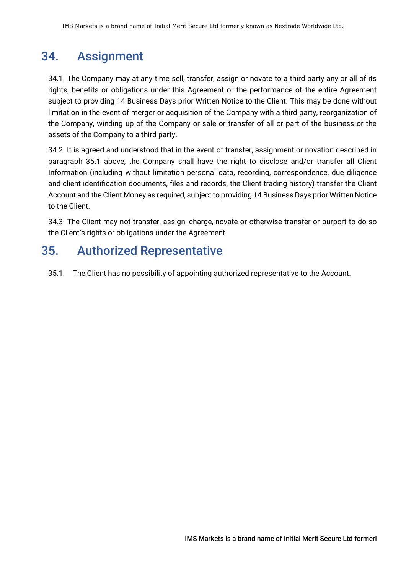## 34. Assignment

34.1. The Company may at any time sell, transfer, assign or novate to a third party any or all of its rights, benefits or obligations under this Agreement or the performance of the entire Agreement subject to providing 14 Business Days prior Written Notice to the Client. This may be done without limitation in the event of merger or acquisition of the Company with a third party, reorganization of the Company, winding up of the Company or sale or transfer of all or part of the business or the assets of the Company to a third party.

34.2. It is agreed and understood that in the event of transfer, assignment or novation described in paragraph 35.1 above, the Company shall have the right to disclose and/or transfer all Client Information (including without limitation personal data, recording, correspondence, due diligence and client identification documents, files and records, the Client trading history) transfer the Client Account and the Client Money as required, subject to providing 14 Business Days prior Written Notice to the Client.

34.3. The Client may not transfer, assign, charge, novate or otherwise transfer or purport to do so the Client's rights or obligations under the Agreement.

## 35. Authorized Representative

35.1. The Client has no possibility of appointing authorized representative to the Account.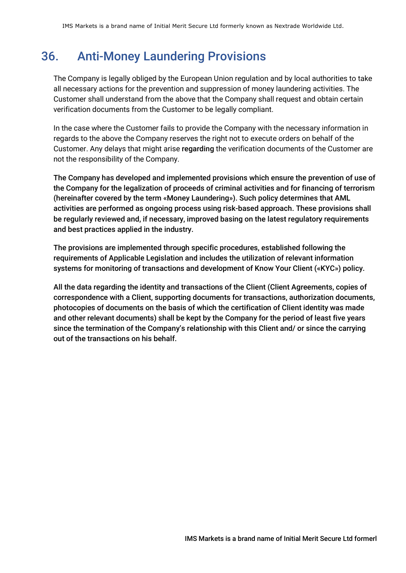# 36. Anti-Money Laundering Provisions

The Company is legally obliged by the European Union regulation and by local authorities to take all necessary actions for the prevention and suppression of money laundering activities. The Customer shall understand from the above that the Company shall request and obtain certain verification documents from the Customer to be legally compliant.

In the case where the Customer fails to provide the Company with the necessary information in regards to the above the Company reserves the right not to execute orders on behalf of the Customer. Any delays that might arise regarding the verification documents of the Customer are not the responsibility of the Company.

The Company has developed and implemented provisions which ensure the prevention of use of the Company for the legalization of proceeds of criminal activities and for financing of terrorism (hereinafter covered by the term «Money Laundering»). Such policy determines that AML activities are performed as ongoing process using risk-based approach. These provisions shall be regularly reviewed and, if necessary, improved basing on the latest regulatory requirements and best practices applied in the industry.

The provisions are implemented through specific procedures, established following the requirements of Applicable Legislation and includes the utilization of relevant information systems for monitoring of transactions and development of Know Your Client («KYC») policy.

All the data regarding the identity and transactions of the Client (Client Agreements, copies of correspondence with a Client, supporting documents for transactions, authorization documents, photocopies of documents on the basis of which the certification of Client identity was made and other relevant documents) shall be kept by the Company for the period of least five years since the termination of the Company's relationship with this Client and/ or since the carrying out of the transactions on his behalf.